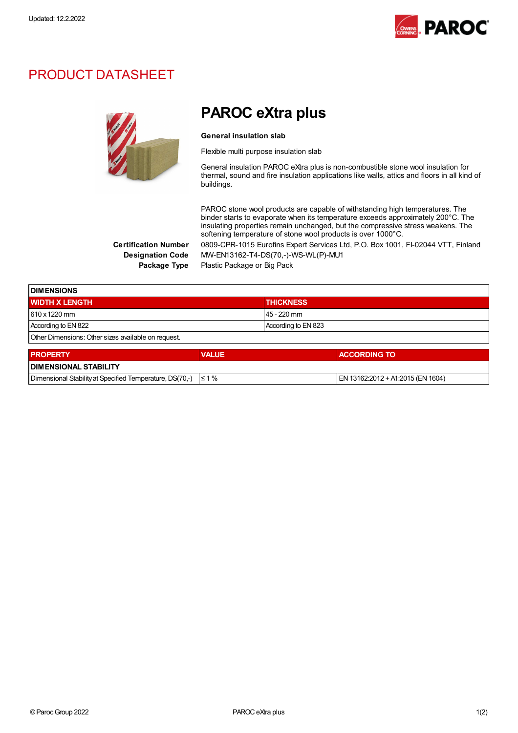

## PRODUCT DATASHEET



## PAROC eXtra plus

## General insulation slab

Flexible multi purpose insulation slab

General insulation PAROC eXtra plus is non-combustible stone wool insulation for thermal, sound and fire insulation applications like walls, attics and floors in all kind of buildings.

PAROC stone wool products are capable of withstanding high temperatures. The binder starts to evaporate when its temperature exceeds approximately 200°C. The insulating properties remain unchanged, but the compressive stress weakens. The softening temperature of stone wool products is over 1000°C.

Certification Number 0809-CPR-1015 Eurofins Expert Services Ltd, P.O. Box 1001, FI-02044 VTT, Finland Designation Code MW-EN13162-T4-DS(70,-)-WS-WL(P)-MU1 Package Type Plastic Package or Big Pack

| <b>DIMENSIONS</b>                                   |                     |  |
|-----------------------------------------------------|---------------------|--|
| <b>WIDTH X LENGTH</b>                               | <b>THICKNESS</b>    |  |
| 610 x 1220 mm                                       | 45 - 220 mm         |  |
| According to EN 822                                 | According to EN 823 |  |
| Other Dimensions: Other sizes available on request. |                     |  |
|                                                     |                     |  |

| <b>PROPERTY</b>                                                     | <b>VALUE</b> | <b>ACCORDING TO</b>                |  |  |
|---------------------------------------------------------------------|--------------|------------------------------------|--|--|
| <b>I DIMENSIONAL STABILITY</b>                                      |              |                                    |  |  |
| Dimensional Stability at Specified Temperature, DS(70.-) $\leq 1\%$ |              | IEN 13162:2012 + A1:2015 (EN 1604) |  |  |